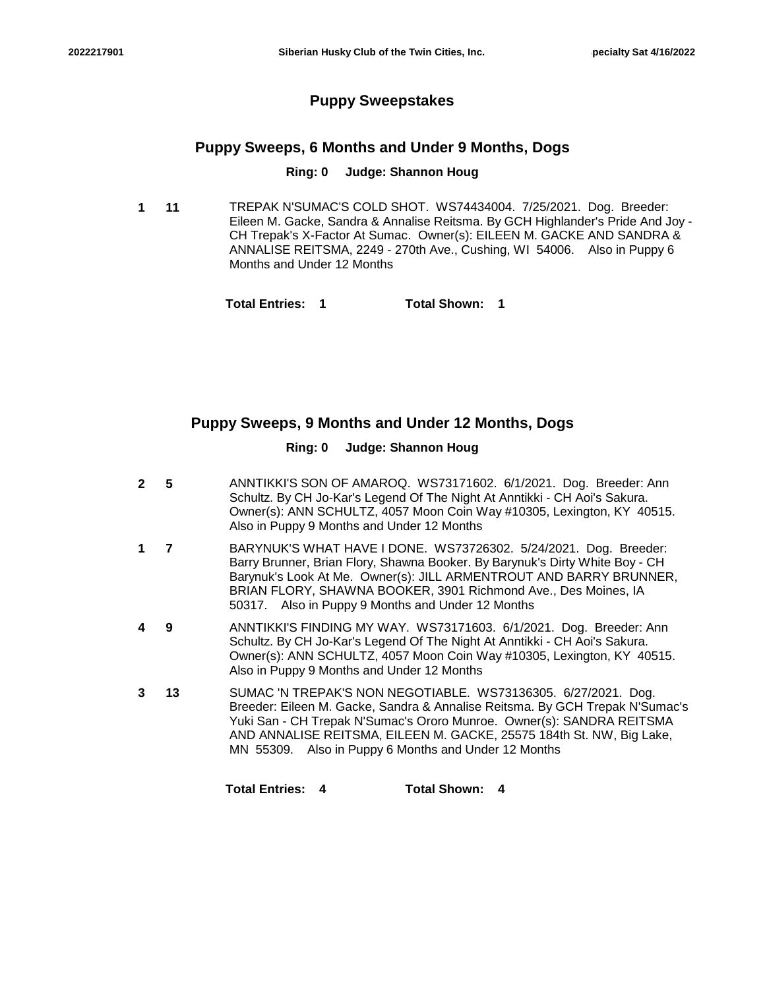## **Puppy Sweepstakes**

## **Puppy Sweeps, 6 Months and Under 9 Months, Dogs**

### **Ring: 0 Judge: Shannon Houg**

**11** TREPAK N'SUMAC'S COLD SHOT. WS74434004. 7/25/2021. Dog. Breeder: Eileen M. Gacke, Sandra & Annalise Reitsma. By GCH Highlander's Pride And Joy - CH Trepak's X-Factor At Sumac. Owner(s): EILEEN M. GACKE AND SANDRA & ANNALISE REITSMA, 2249 - 270th Ave., Cushing, WI 54006. Also in Puppy 6 Months and Under 12 Months **1**

**Total Entries: 1 Total Shown: 1**

## **Puppy Sweeps, 9 Months and Under 12 Months, Dogs**

## **Ring: 0 Judge: Shannon Houg**

| $\mathbf{c}$ | 5  | ANNTIKKI'S SON OF AMAROQ. WS73171602. 6/1/2021. Dog. Breeder: Ann<br>Schultz. By CH Jo-Kar's Legend Of The Night At Anntikki - CH Aoi's Sakura.<br>Owner(s): ANN SCHULTZ, 4057 Moon Coin Way #10305, Lexington, KY 40515.<br>Also in Puppy 9 Months and Under 12 Months                                                                                |
|--------------|----|--------------------------------------------------------------------------------------------------------------------------------------------------------------------------------------------------------------------------------------------------------------------------------------------------------------------------------------------------------|
|              | 7  | BARYNUK'S WHAT HAVE I DONE. WS73726302. 5/24/2021. Dog. Breeder:<br>Barry Brunner, Brian Flory, Shawna Booker. By Barynuk's Dirty White Boy - CH<br>Barynuk's Look At Me. Owner(s): JILL ARMENTROUT AND BARRY BRUNNER,<br>BRIAN FLORY, SHAWNA BOOKER, 3901 Richmond Ave., Des Moines, IA<br>50317. Also in Puppy 9 Months and Under 12 Months          |
|              | 9  | ANNTIKKI'S FINDING MY WAY. WS73171603. 6/1/2021. Dog. Breeder: Ann<br>Schultz. By CH Jo-Kar's Legend Of The Night At Anntikki - CH Aoi's Sakura.<br>Owner(s): ANN SCHULTZ, 4057 Moon Coin Way #10305, Lexington, KY 40515.<br>Also in Puppy 9 Months and Under 12 Months                                                                               |
|              | 13 | SUMAC 'N TREPAK'S NON NEGOTIABLE. WS73136305. 6/27/2021. Dog.<br>Breeder: Eileen M. Gacke, Sandra & Annalise Reitsma. By GCH Trepak N'Sumac's<br>Yuki San - CH Trepak N'Sumac's Ororo Munroe. Owner(s): SANDRA REITSMA<br>AND ANNALISE REITSMA, EILEEN M. GACKE, 25575 184th St. NW, Big Lake,<br>MN 55309. Also in Puppy 6 Months and Under 12 Months |
|              |    | <b>Total Entries:</b><br>Total Shown:<br>4<br>4                                                                                                                                                                                                                                                                                                        |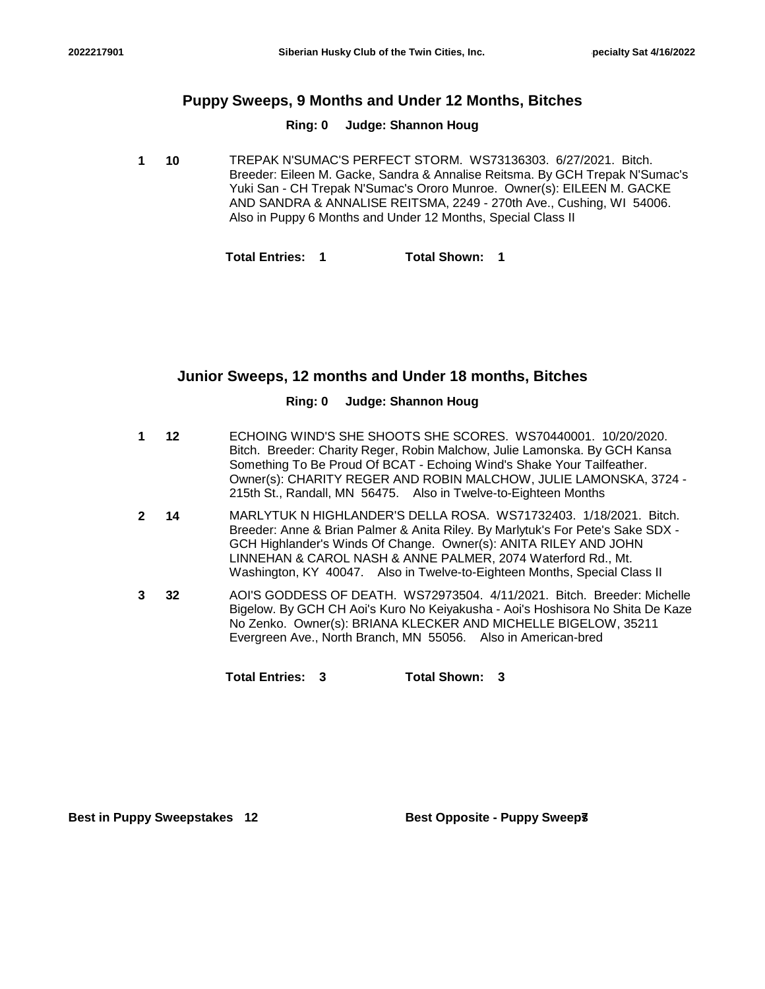## **Puppy Sweeps, 9 Months and Under 12 Months, Bitches**

#### **Ring: 0 Judge: Shannon Houg**

**10** TREPAK N'SUMAC'S PERFECT STORM. WS73136303. 6/27/2021. Bitch. Breeder: Eileen M. Gacke, Sandra & Annalise Reitsma. By GCH Trepak N'Sumac's Yuki San - CH Trepak N'Sumac's Ororo Munroe. Owner(s): EILEEN M. GACKE AND SANDRA & ANNALISE REITSMA, 2249 - 270th Ave., Cushing, WI 54006. Also in Puppy 6 Months and Under 12 Months, Special Class II **1**

**Total Entries: 1 Total Shown: 1**

## **Junior Sweeps, 12 months and Under 18 months, Bitches**

### **Ring: 0 Judge: Shannon Houg**

- **12** ECHOING WIND'S SHE SHOOTS SHE SCORES. WS70440001. 10/20/2020. Bitch. Breeder: Charity Reger, Robin Malchow, Julie Lamonska. By GCH Kansa Something To Be Proud Of BCAT - Echoing Wind's Shake Your Tailfeather. Owner(s): CHARITY REGER AND ROBIN MALCHOW, JULIE LAMONSKA, 3724 - 215th St., Randall, MN 56475. Also in Twelve-to-Eighteen Months **1**
- **14** MARLYTUK N HIGHLANDER'S DELLA ROSA. WS71732403. 1/18/2021. Bitch. Breeder: Anne & Brian Palmer & Anita Riley. By Marlytuk's For Pete's Sake SDX - GCH Highlander's Winds Of Change. Owner(s): ANITA RILEY AND JOHN LINNEHAN & CAROL NASH & ANNE PALMER, 2074 Waterford Rd., Mt. Washington, KY 40047. Also in Twelve-to-Eighteen Months, Special Class II **2**
- **32** AOI'S GODDESS OF DEATH. WS72973504. 4/11/2021. Bitch. Breeder: Michelle Bigelow. By GCH CH Aoi's Kuro No Keiyakusha - Aoi's Hoshisora No Shita De Kaze No Zenko. Owner(s): BRIANA KLECKER AND MICHELLE BIGELOW, 35211 Evergreen Ave., North Branch, MN 55056. Also in American-bred **3**

**Total Entries: 3 Total Shown: 3**

**Best in Puppy Sweepstakes** 12 **Best Opposite - Puppy Sweeps**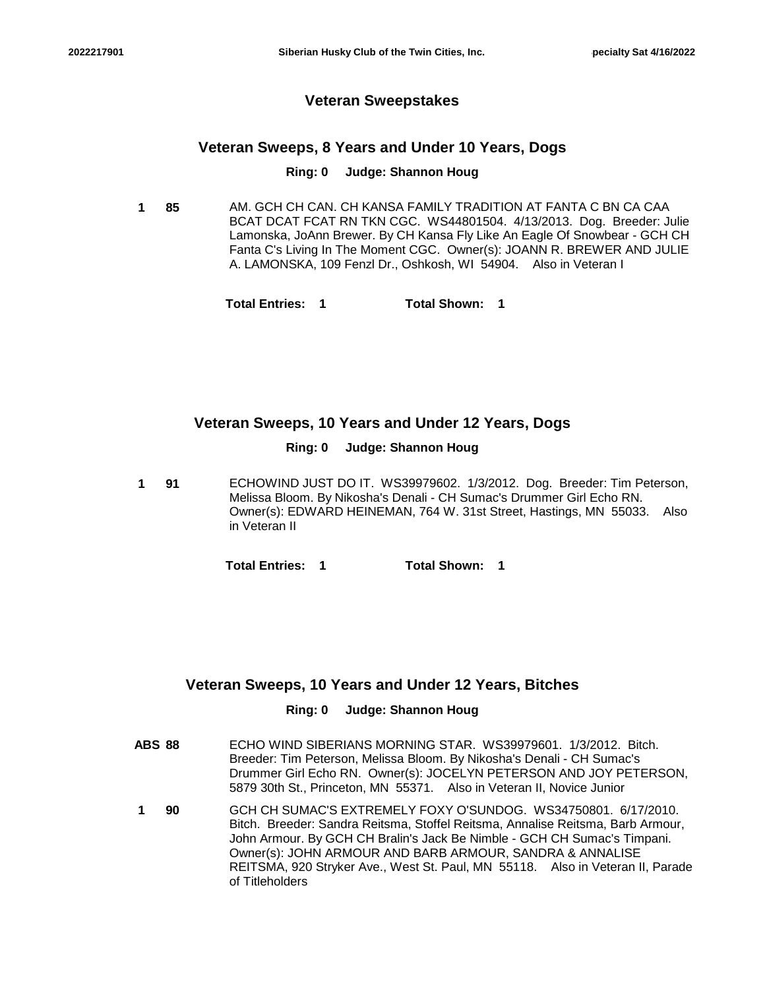### **Veteran Sweepstakes**

### **Veteran Sweeps, 8 Years and Under 10 Years, Dogs**

#### **Ring: 0 Judge: Shannon Houg**

- **85** AM. GCH CH CAN. CH KANSA FAMILY TRADITION AT FANTA C BN CA CAA BCAT DCAT FCAT RN TKN CGC. WS44801504. 4/13/2013. Dog. Breeder: Julie Lamonska, JoAnn Brewer. By CH Kansa Fly Like An Eagle Of Snowbear - GCH CH Fanta C's Living In The Moment CGC. Owner(s): JOANN R. BREWER AND JULIE A. LAMONSKA, 109 Fenzl Dr., Oshkosh, WI 54904. Also in Veteran I **1**
	- **Total Entries: 1 Total Shown: 1**

### **Veteran Sweeps, 10 Years and Under 12 Years, Dogs**

#### **Ring: 0 Judge: Shannon Houg**

**91** ECHOWIND JUST DO IT. WS39979602. 1/3/2012. Dog. Breeder: Tim Peterson, Melissa Bloom. By Nikosha's Denali - CH Sumac's Drummer Girl Echo RN. Owner(s): EDWARD HEINEMAN, 764 W. 31st Street, Hastings, MN 55033. Also in Veteran II **1**

**Total Entries: 1 Total Shown: 1**

### **Veteran Sweeps, 10 Years and Under 12 Years, Bitches**

### **Ring: 0 Judge: Shannon Houg**

- **ABS 88** ECHO WIND SIBERIANS MORNING STAR. WS39979601. 1/3/2012. Bitch. Breeder: Tim Peterson, Melissa Bloom. By Nikosha's Denali - CH Sumac's Drummer Girl Echo RN. Owner(s): JOCELYN PETERSON AND JOY PETERSON, 5879 30th St., Princeton, MN 55371. Also in Veteran II, Novice Junior
- **90** GCH CH SUMAC'S EXTREMELY FOXY O'SUNDOG. WS34750801. 6/17/2010. Bitch. Breeder: Sandra Reitsma, Stoffel Reitsma, Annalise Reitsma, Barb Armour, John Armour. By GCH CH Bralin's Jack Be Nimble - GCH CH Sumac's Timpani. Owner(s): JOHN ARMOUR AND BARB ARMOUR, SANDRA & ANNALISE REITSMA, 920 Stryker Ave., West St. Paul, MN 55118. Also in Veteran II, Parade of Titleholders **1**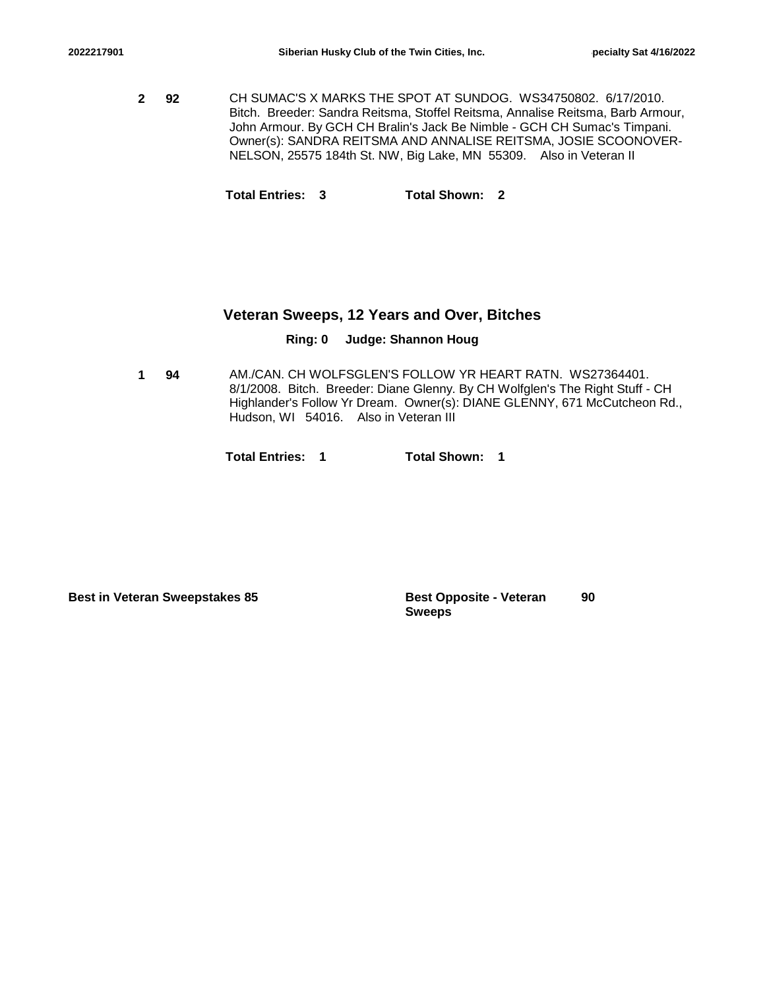**92** CH SUMAC'S X MARKS THE SPOT AT SUNDOG. WS34750802. 6/17/2010. Bitch. Breeder: Sandra Reitsma, Stoffel Reitsma, Annalise Reitsma, Barb Armour, John Armour. By GCH CH Bralin's Jack Be Nimble - GCH CH Sumac's Timpani. Owner(s): SANDRA REITSMA AND ANNALISE REITSMA, JOSIE SCOONOVER-NELSON, 25575 184th St. NW, Big Lake, MN 55309. Also in Veteran II **2**

**Total Entries: 3 Total Shown: 2**

### **Veteran Sweeps, 12 Years and Over, Bitches**

#### **Ring: 0 Judge: Shannon Houg**

**94** AM./CAN. CH WOLFSGLEN'S FOLLOW YR HEART RATN. WS27364401. 8/1/2008. Bitch. Breeder: Diane Glenny. By CH Wolfglen's The Right Stuff - CH Highlander's Follow Yr Dream. Owner(s): DIANE GLENNY, 671 McCutcheon Rd., Hudson, WI 54016. Also in Veteran III **1**

**Total Entries: 1 Total Shown: 1**

**Best in Veteran Sweepstakes 85 Best Opposite - Veteran** 

**Sweeps 90**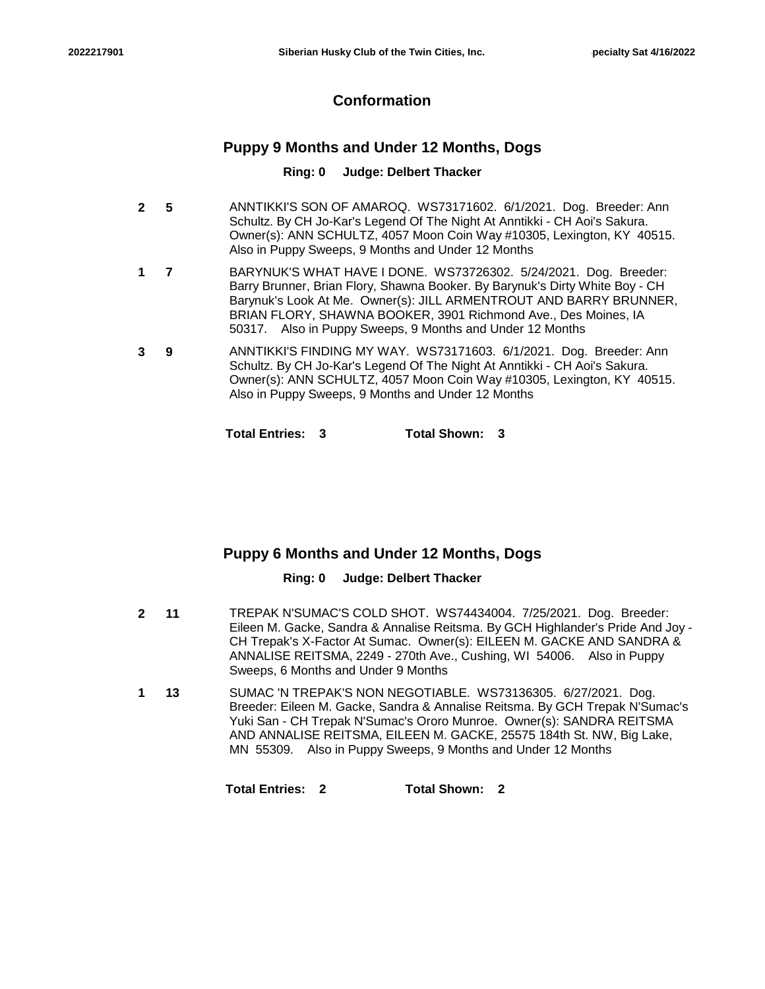## **Conformation**

## **Puppy 9 Months and Under 12 Months, Dogs**

### **Ring: 0 Judge: Delbert Thacker**

- **5** ANNTIKKI'S SON OF AMAROQ. WS73171602. 6/1/2021. Dog. Breeder: Ann Schultz. By CH Jo-Kar's Legend Of The Night At Anntikki - CH Aoi's Sakura. Owner(s): ANN SCHULTZ, 4057 Moon Coin Way #10305, Lexington, KY 40515. Also in Puppy Sweeps, 9 Months and Under 12 Months **2**
- **7** BARYNUK'S WHAT HAVE I DONE. WS73726302. 5/24/2021. Dog. Breeder: Barry Brunner, Brian Flory, Shawna Booker. By Barynuk's Dirty White Boy - CH Barynuk's Look At Me. Owner(s): JILL ARMENTROUT AND BARRY BRUNNER, BRIAN FLORY, SHAWNA BOOKER, 3901 Richmond Ave., Des Moines, IA 50317. Also in Puppy Sweeps, 9 Months and Under 12 Months **1**
- **9** ANNTIKKI'S FINDING MY WAY. WS73171603. 6/1/2021. Dog. Breeder: Ann Schultz. By CH Jo-Kar's Legend Of The Night At Anntikki - CH Aoi's Sakura. Owner(s): ANN SCHULTZ, 4057 Moon Coin Way #10305, Lexington, KY 40515. Also in Puppy Sweeps, 9 Months and Under 12 Months **3**

**Total Entries: 3 Total Shown: 3**

## **Puppy 6 Months and Under 12 Months, Dogs**

### **Ring: 0 Judge: Delbert Thacker**

- **11** TREPAK N'SUMAC'S COLD SHOT. WS74434004. 7/25/2021. Dog. Breeder: Eileen M. Gacke, Sandra & Annalise Reitsma. By GCH Highlander's Pride And Joy - CH Trepak's X-Factor At Sumac. Owner(s): EILEEN M. GACKE AND SANDRA & ANNALISE REITSMA, 2249 - 270th Ave., Cushing, WI 54006. Also in Puppy Sweeps, 6 Months and Under 9 Months **2**
- **13** SUMAC 'N TREPAK'S NON NEGOTIABLE. WS73136305. 6/27/2021. Dog. Breeder: Eileen M. Gacke, Sandra & Annalise Reitsma. By GCH Trepak N'Sumac's Yuki San - CH Trepak N'Sumac's Ororo Munroe. Owner(s): SANDRA REITSMA AND ANNALISE REITSMA, EILEEN M. GACKE, 25575 184th St. NW, Big Lake, MN 55309. Also in Puppy Sweeps, 9 Months and Under 12 Months **1**

**Total Entries: 2 Total Shown: 2**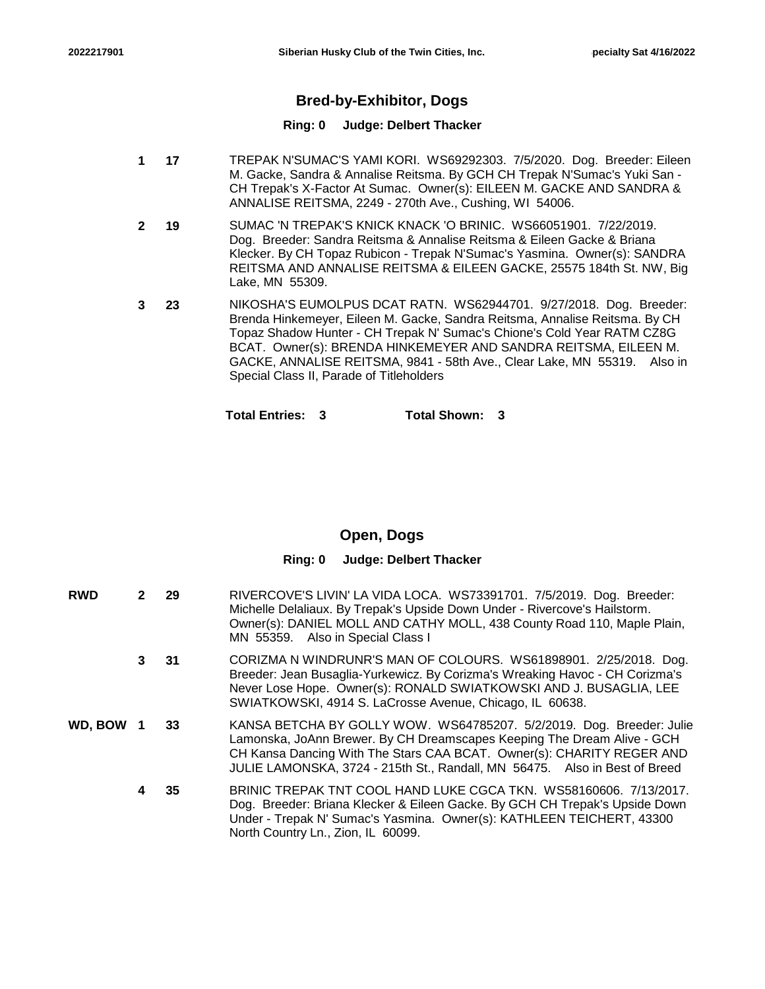## **Bred-by-Exhibitor, Dogs**

### **Ring: 0 Judge: Delbert Thacker**

- **17** TREPAK N'SUMAC'S YAMI KORI. WS69292303. 7/5/2020. Dog. Breeder: Eileen M. Gacke, Sandra & Annalise Reitsma. By GCH CH Trepak N'Sumac's Yuki San - CH Trepak's X-Factor At Sumac. Owner(s): EILEEN M. GACKE AND SANDRA & ANNALISE REITSMA, 2249 - 270th Ave., Cushing, WI 54006. **1**
- **19** SUMAC 'N TREPAK'S KNICK KNACK 'O BRINIC. WS66051901. 7/22/2019. Dog. Breeder: Sandra Reitsma & Annalise Reitsma & Eileen Gacke & Briana Klecker. By CH Topaz Rubicon - Trepak N'Sumac's Yasmina. Owner(s): SANDRA REITSMA AND ANNALISE REITSMA & EILEEN GACKE, 25575 184th St. NW, Big Lake, MN 55309. **2**
- **23** NIKOSHA'S EUMOLPUS DCAT RATN. WS62944701. 9/27/2018. Dog. Breeder: Brenda Hinkemeyer, Eileen M. Gacke, Sandra Reitsma, Annalise Reitsma. By CH Topaz Shadow Hunter - CH Trepak N' Sumac's Chione's Cold Year RATM CZ8G BCAT. Owner(s): BRENDA HINKEMEYER AND SANDRA REITSMA, EILEEN M. GACKE, ANNALISE REITSMA, 9841 - 58th Ave., Clear Lake, MN 55319. Also in Special Class II, Parade of Titleholders **3**

**Total Entries: 3 Total Shown: 3**

## **Open, Dogs**

### **Ring: 0 Judge: Delbert Thacker**

| <b>RWD</b> | $\mathbf{2}$    | - 29 | RIVERCOVE'S LIVIN' LA VIDA LOCA. WS73391701. 7/5/2019. Dog. Breeder:<br>Michelle Delaliaux. By Trepak's Upside Down Under - Rivercove's Hailstorm.<br>Owner(s): DANIEL MOLL AND CATHY MOLL, 438 County Road 110, Maple Plain,<br>MN 55359. Also in Special Class I                                     |
|------------|-----------------|------|--------------------------------------------------------------------------------------------------------------------------------------------------------------------------------------------------------------------------------------------------------------------------------------------------------|
|            | 3 <sup>31</sup> |      | CORIZMA N WINDRUNR'S MAN OF COLOURS. WS61898901. 2/25/2018. Dog.<br>Breeder: Jean Busaglia-Yurkewicz. By Corizma's Wreaking Havoc - CH Corizma's<br>Never Lose Hope. Owner(s): RONALD SWIATKOWSKI AND J. BUSAGLIA, LEE<br>SWIATKOWSKI, 4914 S. LaCrosse Avenue, Chicago, IL 60638.                     |
| WD, BOW 1  |                 | 33   | KANSA BETCHA BY GOLLY WOW. WS64785207. 5/2/2019. Dog. Breeder: Julie<br>Lamonska, JoAnn Brewer. By CH Dreamscapes Keeping The Dream Alive - GCH<br>CH Kansa Dancing With The Stars CAA BCAT. Owner(s): CHARITY REGER AND<br>JULIE LAMONSKA, 3724 - 215th St., Randall, MN 56475. Also in Best of Breed |
|            | 4               | -35  | BRINIC TREPAK TNT COOL HAND LUKE CGCA TKN. WS58160606. 7/13/2017.<br>Dog. Breeder: Briana Klecker & Eileen Gacke. By GCH CH Trepak's Upside Down<br>Under - Trepak N' Sumac's Yasmina. Owner(s): KATHLEEN TEICHERT, 43300<br>North Country Ln., Zion, IL 60099.                                        |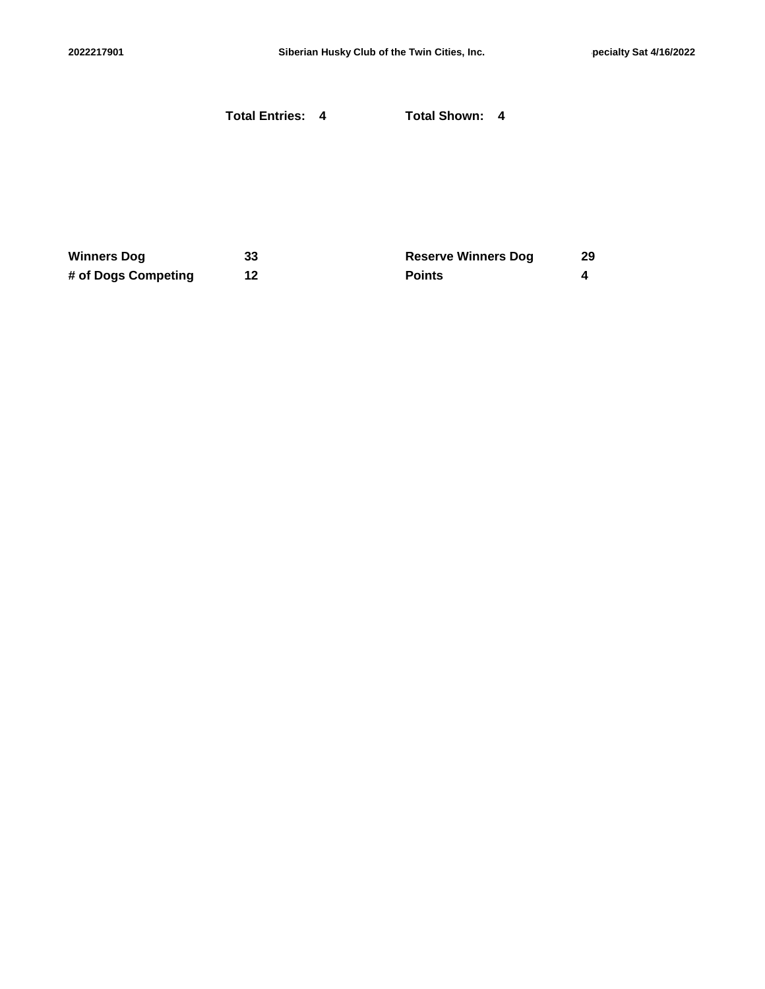|                     | <b>Total Entries: 4</b> | <b>Total Shown: 4</b>      |    |
|---------------------|-------------------------|----------------------------|----|
|                     |                         |                            |    |
|                     |                         |                            |    |
| <b>Winners Dog</b>  | 33                      | <b>Reserve Winners Dog</b> | 29 |
| # of Dogs Competing | 12                      | <b>Points</b>              | 4  |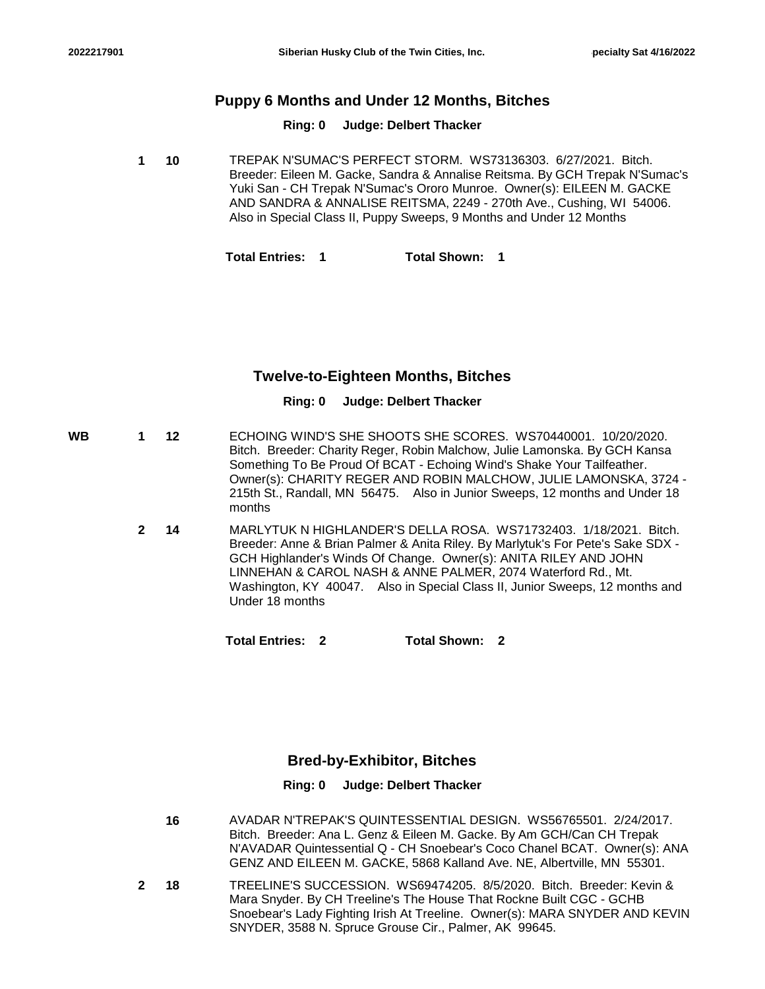## **Puppy 6 Months and Under 12 Months, Bitches**

### **Ring: 0 Judge: Delbert Thacker**

**10** TREPAK N'SUMAC'S PERFECT STORM. WS73136303. 6/27/2021. Bitch. Breeder: Eileen M. Gacke, Sandra & Annalise Reitsma. By GCH Trepak N'Sumac's Yuki San - CH Trepak N'Sumac's Ororo Munroe. Owner(s): EILEEN M. GACKE AND SANDRA & ANNALISE REITSMA, 2249 - 270th Ave., Cushing, WI 54006. Also in Special Class II, Puppy Sweeps, 9 Months and Under 12 Months **1**

**Total Entries: 1 Total Shown: 1**

## **Twelve-to-Eighteen Months, Bitches**

### **Ring: 0 Judge: Delbert Thacker**

- **12** ECHOING WIND'S SHE SHOOTS SHE SCORES. WS70440001. 10/20/2020. Bitch. Breeder: Charity Reger, Robin Malchow, Julie Lamonska. By GCH Kansa Something To Be Proud Of BCAT - Echoing Wind's Shake Your Tailfeather. Owner(s): CHARITY REGER AND ROBIN MALCHOW, JULIE LAMONSKA, 3724 - 215th St., Randall, MN 56475. Also in Junior Sweeps, 12 months and Under 18 months **WB 1**
	- **14** MARLYTUK N HIGHLANDER'S DELLA ROSA. WS71732403. 1/18/2021. Bitch. Breeder: Anne & Brian Palmer & Anita Riley. By Marlytuk's For Pete's Sake SDX - GCH Highlander's Winds Of Change. Owner(s): ANITA RILEY AND JOHN LINNEHAN & CAROL NASH & ANNE PALMER, 2074 Waterford Rd., Mt. Washington, KY 40047. Also in Special Class II, Junior Sweeps, 12 months and Under 18 months **2**

**Total Entries: 2 Total Shown: 2**

## **Bred-by-Exhibitor, Bitches**

### **Ring: 0 Judge: Delbert Thacker**

- **16** AVADAR N'TREPAK'S QUINTESSENTIAL DESIGN. WS56765501. 2/24/2017. Bitch. Breeder: Ana L. Genz & Eileen M. Gacke. By Am GCH/Can CH Trepak N'AVADAR Quintessential Q - CH Snoebear's Coco Chanel BCAT. Owner(s): ANA GENZ AND EILEEN M. GACKE, 5868 Kalland Ave. NE, Albertville, MN 55301.
- **18** TREELINE'S SUCCESSION. WS69474205. 8/5/2020. Bitch. Breeder: Kevin & Mara Snyder. By CH Treeline's The House That Rockne Built CGC - GCHB Snoebear's Lady Fighting Irish At Treeline. Owner(s): MARA SNYDER AND KEVIN SNYDER, 3588 N. Spruce Grouse Cir., Palmer, AK 99645. **2**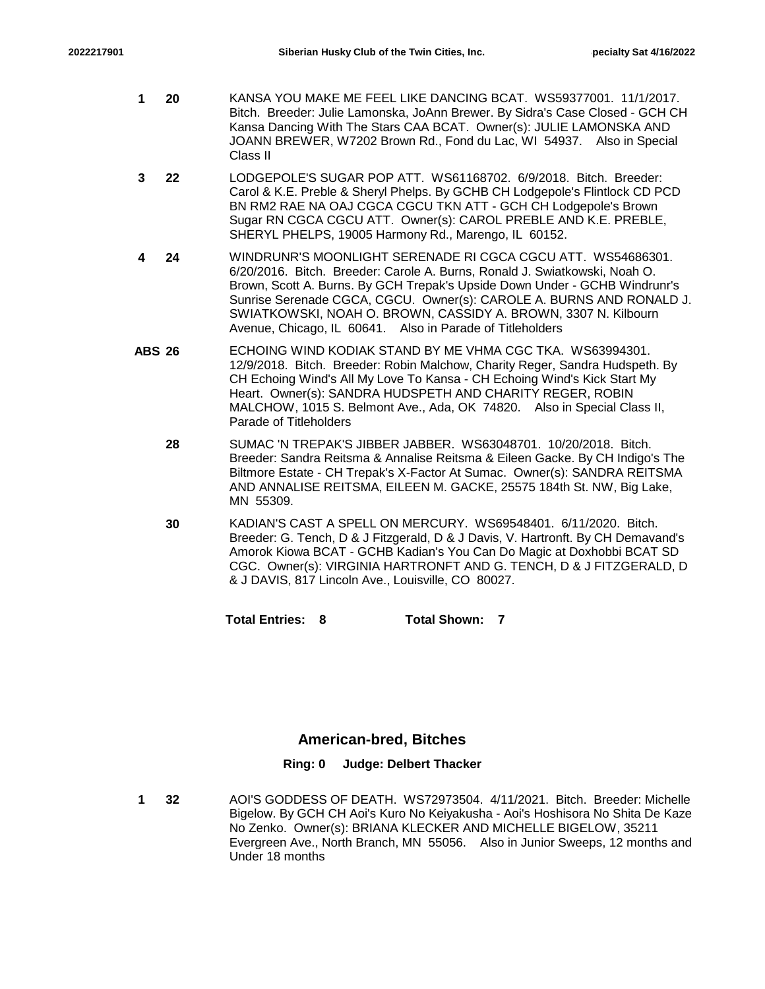- **20** KANSA YOU MAKE ME FEEL LIKE DANCING BCAT. WS59377001. 11/1/2017. Bitch. Breeder: Julie Lamonska, JoAnn Brewer. By Sidra's Case Closed - GCH CH Kansa Dancing With The Stars CAA BCAT. Owner(s): JULIE LAMONSKA AND JOANN BREWER, W7202 Brown Rd., Fond du Lac, WI 54937. Also in Special Class II **1**
- **22** LODGEPOLE'S SUGAR POP ATT. WS61168702. 6/9/2018. Bitch. Breeder: Carol & K.E. Preble & Sheryl Phelps. By GCHB CH Lodgepole's Flintlock CD PCD BN RM2 RAE NA OAJ CGCA CGCU TKN ATT - GCH CH Lodgepole's Brown Sugar RN CGCA CGCU ATT. Owner(s): CAROL PREBLE AND K.E. PREBLE, SHERYL PHELPS, 19005 Harmony Rd., Marengo, IL 60152. **3**
- **24** WINDRUNR'S MOONLIGHT SERENADE RI CGCA CGCU ATT. WS54686301. 6/20/2016. Bitch. Breeder: Carole A. Burns, Ronald J. Swiatkowski, Noah O. Brown, Scott A. Burns. By GCH Trepak's Upside Down Under - GCHB Windrunr's Sunrise Serenade CGCA, CGCU. Owner(s): CAROLE A. BURNS AND RONALD J. SWIATKOWSKI, NOAH O. BROWN, CASSIDY A. BROWN, 3307 N. Kilbourn Avenue, Chicago, IL 60641. Also in Parade of Titleholders **4**
- **ABS 26** ECHOING WIND KODIAK STAND BY ME VHMA CGC TKA. WS63994301. 12/9/2018. Bitch. Breeder: Robin Malchow, Charity Reger, Sandra Hudspeth. By CH Echoing Wind's All My Love To Kansa - CH Echoing Wind's Kick Start My Heart. Owner(s): SANDRA HUDSPETH AND CHARITY REGER, ROBIN MALCHOW, 1015 S. Belmont Ave., Ada, OK 74820. Also in Special Class II, Parade of Titleholders
	- **28** SUMAC 'N TREPAK'S JIBBER JABBER. WS63048701. 10/20/2018. Bitch. Breeder: Sandra Reitsma & Annalise Reitsma & Eileen Gacke. By CH Indigo's The Biltmore Estate - CH Trepak's X-Factor At Sumac. Owner(s): SANDRA REITSMA AND ANNALISE REITSMA, EILEEN M. GACKE, 25575 184th St. NW, Big Lake, MN 55309.
	- **30** KADIAN'S CAST A SPELL ON MERCURY. WS69548401. 6/11/2020. Bitch. Breeder: G. Tench, D & J Fitzgerald, D & J Davis, V. Hartronft. By CH Demavand's Amorok Kiowa BCAT - GCHB Kadian's You Can Do Magic at Doxhobbi BCAT SD CGC. Owner(s): VIRGINIA HARTRONFT AND G. TENCH, D & J FITZGERALD, D & J DAVIS, 817 Lincoln Ave., Louisville, CO 80027.

**Total Entries: 8 Total Shown: 7**

## **American-bred, Bitches**

### **Ring: 0 Judge: Delbert Thacker**

**32** AOI'S GODDESS OF DEATH. WS72973504. 4/11/2021. Bitch. Breeder: Michelle Bigelow. By GCH CH Aoi's Kuro No Keiyakusha - Aoi's Hoshisora No Shita De Kaze No Zenko. Owner(s): BRIANA KLECKER AND MICHELLE BIGELOW, 35211 Evergreen Ave., North Branch, MN 55056. Also in Junior Sweeps, 12 months and Under 18 months **1**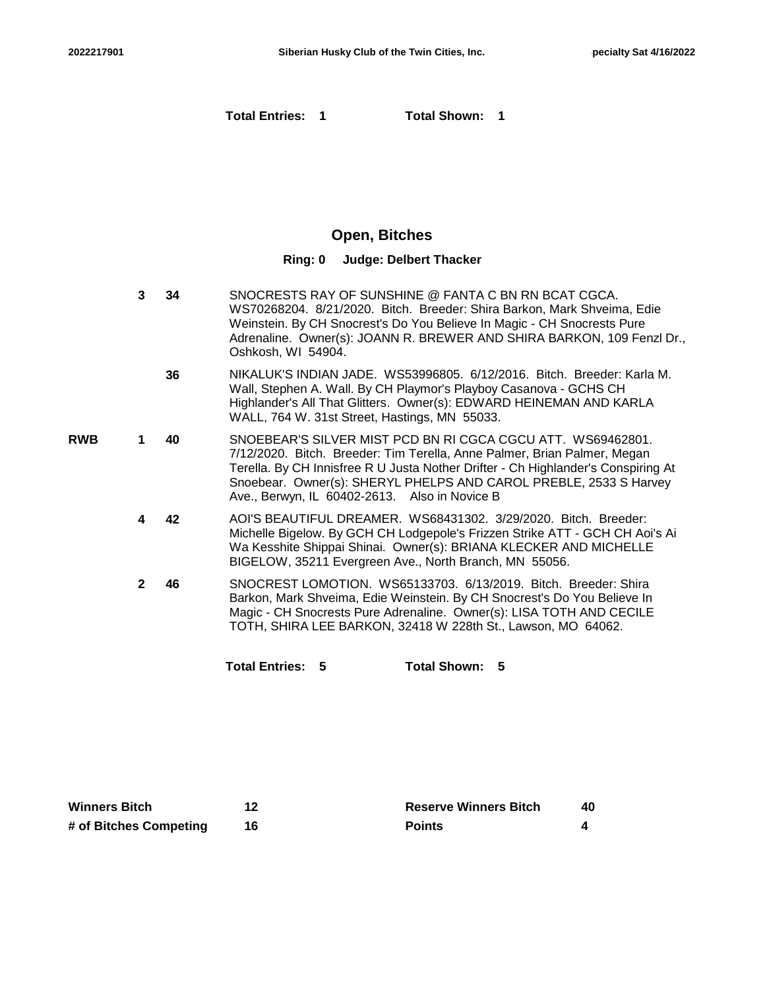**Total Entries: 1 Total Shown: 1**

## **Open, Bitches**

#### **Ring: 0 Judge: Delbert Thacker**

- **34** SNOCRESTS RAY OF SUNSHINE @ FANTA C BN RN BCAT CGCA. WS70268204. 8/21/2020. Bitch. Breeder: Shira Barkon, Mark Shveima, Edie Weinstein. By CH Snocrest's Do You Believe In Magic - CH Snocrests Pure Adrenaline. Owner(s): JOANN R. BREWER AND SHIRA BARKON, 109 Fenzl Dr., Oshkosh, WI 54904. **3**
	- **36** NIKALUK'S INDIAN JADE. WS53996805. 6/12/2016. Bitch. Breeder: Karla M. Wall, Stephen A. Wall. By CH Playmor's Playboy Casanova - GCHS CH Highlander's All That Glitters. Owner(s): EDWARD HEINEMAN AND KARLA WALL, 764 W. 31st Street, Hastings, MN 55033.
- **40** SNOEBEAR'S SILVER MIST PCD BN RI CGCA CGCU ATT. WS69462801. 7/12/2020. Bitch. Breeder: Tim Terella, Anne Palmer, Brian Palmer, Megan Terella. By CH Innisfree R U Justa Nother Drifter - Ch Highlander's Conspiring At Snoebear. Owner(s): SHERYL PHELPS AND CAROL PREBLE, 2533 S Harvey Ave., Berwyn, IL 60402-2613. Also in Novice B **RWB 1**
	- **42** AOI'S BEAUTIFUL DREAMER. WS68431302. 3/29/2020. Bitch. Breeder: Michelle Bigelow. By GCH CH Lodgepole's Frizzen Strike ATT - GCH CH Aoi's Ai Wa Kesshite Shippai Shinai. Owner(s): BRIANA KLECKER AND MICHELLE BIGELOW, 35211 Evergreen Ave., North Branch, MN 55056. **4**
	- **46** SNOCREST LOMOTION. WS65133703. 6/13/2019. Bitch. Breeder: Shira Barkon, Mark Shveima, Edie Weinstein. By CH Snocrest's Do You Believe In Magic - CH Snocrests Pure Adrenaline. Owner(s): LISA TOTH AND CECILE TOTH, SHIRA LEE BARKON, 32418 W 228th St., Lawson, MO 64062. **2**

**Total Entries: 5 Total Shown: 5**

| Winners Bitch          | <b>Reserve Winners Bitch</b> | 40 |
|------------------------|------------------------------|----|
| # of Bitches Competing | <b>Points</b>                |    |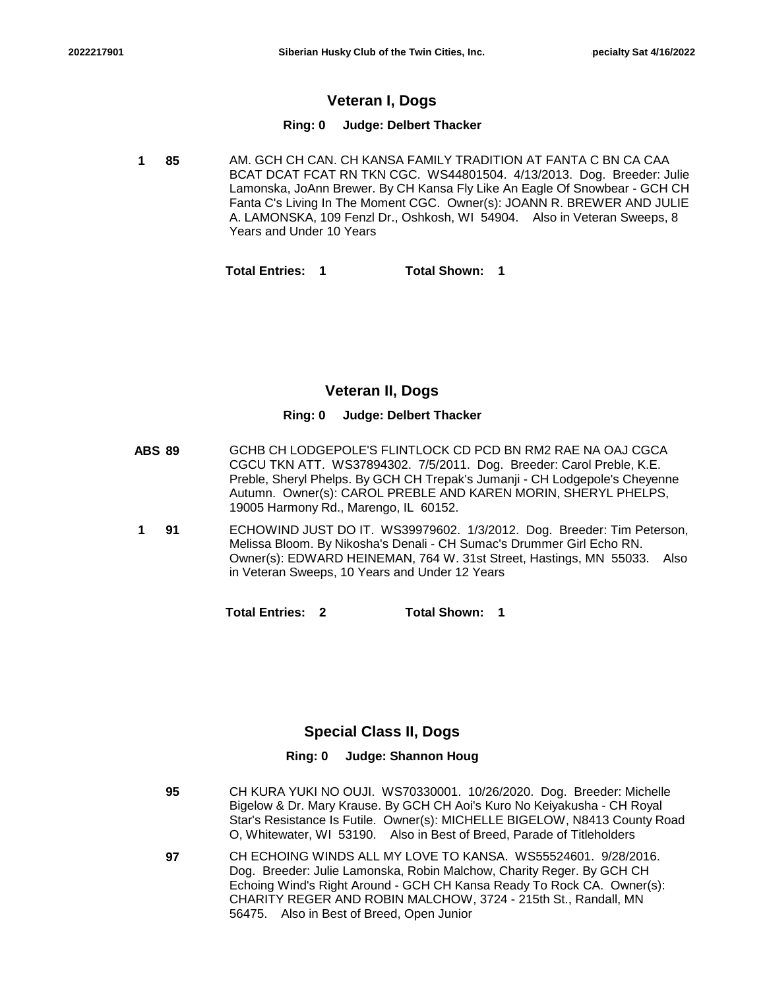## **Veteran I, Dogs**

### **Ring: 0 Judge: Delbert Thacker**

**85** AM. GCH CH CAN. CH KANSA FAMILY TRADITION AT FANTA C BN CA CAA BCAT DCAT FCAT RN TKN CGC. WS44801504. 4/13/2013. Dog. Breeder: Julie Lamonska, JoAnn Brewer. By CH Kansa Fly Like An Eagle Of Snowbear - GCH CH Fanta C's Living In The Moment CGC. Owner(s): JOANN R. BREWER AND JULIE A. LAMONSKA, 109 Fenzl Dr., Oshkosh, WI 54904. Also in Veteran Sweeps, 8 Years and Under 10 Years **1**

**Total Entries: 1 Total Shown: 1**

## **Veteran II, Dogs**

### **Ring: 0 Judge: Delbert Thacker**

- **ABS 89** GCHB CH LODGEPOLE'S FLINTLOCK CD PCD BN RM2 RAE NA OAJ CGCA CGCU TKN ATT. WS37894302. 7/5/2011. Dog. Breeder: Carol Preble, K.E. Preble, Sheryl Phelps. By GCH CH Trepak's Jumanji - CH Lodgepole's Cheyenne Autumn. Owner(s): CAROL PREBLE AND KAREN MORIN, SHERYL PHELPS, 19005 Harmony Rd., Marengo, IL 60152.
- **91** ECHOWIND JUST DO IT. WS39979602. 1/3/2012. Dog. Breeder: Tim Peterson, Melissa Bloom. By Nikosha's Denali - CH Sumac's Drummer Girl Echo RN. Owner(s): EDWARD HEINEMAN, 764 W. 31st Street, Hastings, MN 55033. Also in Veteran Sweeps, 10 Years and Under 12 Years **1**

**Total Entries: 2 Total Shown: 1**

## **Special Class II, Dogs**

### **Ring: 0 Judge: Shannon Houg**

- **95** CH KURA YUKI NO OUJI. WS70330001. 10/26/2020. Dog. Breeder: Michelle Bigelow & Dr. Mary Krause. By GCH CH Aoi's Kuro No Keiyakusha - CH Royal Star's Resistance Is Futile. Owner(s): MICHELLE BIGELOW, N8413 County Road O, Whitewater, WI 53190. Also in Best of Breed, Parade of Titleholders
- **97** CH ECHOING WINDS ALL MY LOVE TO KANSA. WS55524601. 9/28/2016. Dog. Breeder: Julie Lamonska, Robin Malchow, Charity Reger. By GCH CH Echoing Wind's Right Around - GCH CH Kansa Ready To Rock CA. Owner(s): CHARITY REGER AND ROBIN MALCHOW, 3724 - 215th St., Randall, MN 56475. Also in Best of Breed, Open Junior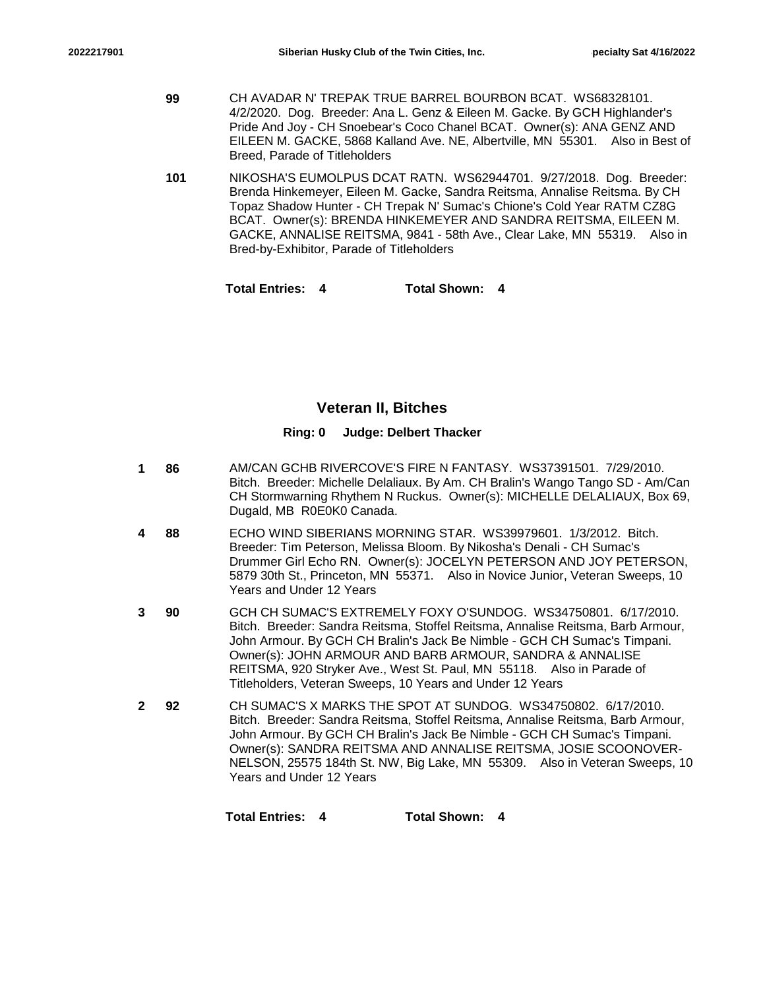- **99** CH AVADAR N' TREPAK TRUE BARREL BOURBON BCAT. WS68328101. 4/2/2020. Dog. Breeder: Ana L. Genz & Eileen M. Gacke. By GCH Highlander's Pride And Joy - CH Snoebear's Coco Chanel BCAT. Owner(s): ANA GENZ AND EILEEN M. GACKE, 5868 Kalland Ave. NE, Albertville, MN 55301. Also in Best of Breed, Parade of Titleholders
- **101** NIKOSHA'S EUMOLPUS DCAT RATN. WS62944701. 9/27/2018. Dog. Breeder: Brenda Hinkemeyer, Eileen M. Gacke, Sandra Reitsma, Annalise Reitsma. By CH Topaz Shadow Hunter - CH Trepak N' Sumac's Chione's Cold Year RATM CZ8G BCAT. Owner(s): BRENDA HINKEMEYER AND SANDRA REITSMA, EILEEN M. GACKE, ANNALISE REITSMA, 9841 - 58th Ave., Clear Lake, MN 55319. Also in Bred-by-Exhibitor, Parade of Titleholders

**Total Entries: 4 Total Shown: 4**

### **Veteran II, Bitches**

#### **Ring: 0 Judge: Delbert Thacker**

- **86** AM/CAN GCHB RIVERCOVE'S FIRE N FANTASY. WS37391501. 7/29/2010. Bitch. Breeder: Michelle Delaliaux. By Am. CH Bralin's Wango Tango SD - Am/Can CH Stormwarning Rhythem N Ruckus. Owner(s): MICHELLE DELALIAUX, Box 69, Dugald, MB R0E0K0 Canada. **1**
- **88** ECHO WIND SIBERIANS MORNING STAR. WS39979601. 1/3/2012. Bitch. Breeder: Tim Peterson, Melissa Bloom. By Nikosha's Denali - CH Sumac's Drummer Girl Echo RN. Owner(s): JOCELYN PETERSON AND JOY PETERSON, 5879 30th St., Princeton, MN 55371. Also in Novice Junior, Veteran Sweeps, 10 Years and Under 12 Years **4**
- **90** GCH CH SUMAC'S EXTREMELY FOXY O'SUNDOG. WS34750801. 6/17/2010. Bitch. Breeder: Sandra Reitsma, Stoffel Reitsma, Annalise Reitsma, Barb Armour, John Armour. By GCH CH Bralin's Jack Be Nimble - GCH CH Sumac's Timpani. Owner(s): JOHN ARMOUR AND BARB ARMOUR, SANDRA & ANNALISE REITSMA, 920 Stryker Ave., West St. Paul, MN 55118. Also in Parade of Titleholders, Veteran Sweeps, 10 Years and Under 12 Years **3**
- **92** CH SUMAC'S X MARKS THE SPOT AT SUNDOG. WS34750802. 6/17/2010. Bitch. Breeder: Sandra Reitsma, Stoffel Reitsma, Annalise Reitsma, Barb Armour, John Armour. By GCH CH Bralin's Jack Be Nimble - GCH CH Sumac's Timpani. Owner(s): SANDRA REITSMA AND ANNALISE REITSMA, JOSIE SCOONOVER-NELSON, 25575 184th St. NW, Big Lake, MN 55309. Also in Veteran Sweeps, 10 Years and Under 12 Years **2**

**Total Entries: 4 Total Shown: 4**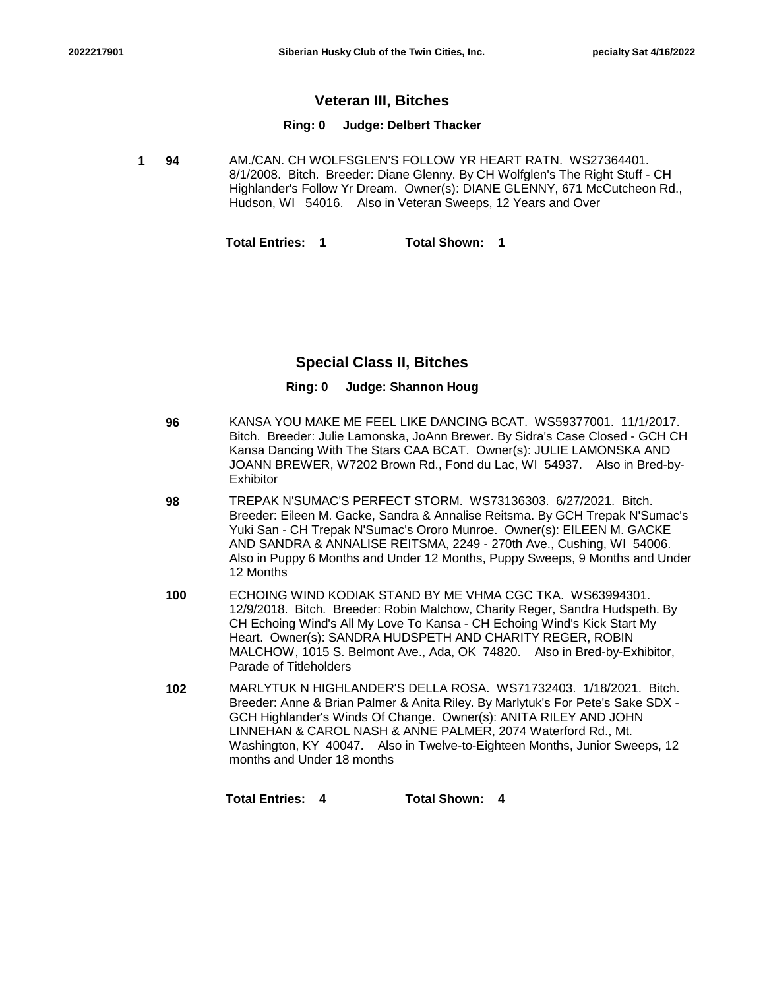## **Veteran III, Bitches**

#### **Ring: 0 Judge: Delbert Thacker**

**94** AM./CAN. CH WOLFSGLEN'S FOLLOW YR HEART RATN. WS27364401. 8/1/2008. Bitch. Breeder: Diane Glenny. By CH Wolfglen's The Right Stuff - CH Highlander's Follow Yr Dream. Owner(s): DIANE GLENNY, 671 McCutcheon Rd., Hudson, WI 54016. Also in Veteran Sweeps, 12 Years and Over **1**

**Total Entries: 1 Total Shown: 1**

### **Special Class II, Bitches**

#### **Ring: 0 Judge: Shannon Houg**

| 96 | KANSA YOU MAKE ME FEEL LIKE DANCING BCAT. WS59377001. 11/1/2017.<br>Bitch. Breeder: Julie Lamonska, JoAnn Brewer. By Sidra's Case Closed - GCH CH<br>Kansa Dancing With The Stars CAA BCAT. Owner(s): JULIE LAMONSKA AND<br>JOANN BREWER, W7202 Brown Rd., Fond du Lac, WI 54937. Also in Bred-by-<br>Exhibitor |
|----|-----------------------------------------------------------------------------------------------------------------------------------------------------------------------------------------------------------------------------------------------------------------------------------------------------------------|
| 98 | TREPAK N'SUMAC'S PERFECT STORM. WS73136303. 6/27/2021. Bitch.<br>Breeder: Eileen M. Gacke, Sandra & Annalise Reitsma. By GCH Trepak N'Sumac's<br>Yuki San - CH Trepak N'Sumac's Ororo Munroe. Owner(s): EILEEN M. GACKE<br>AND SANDRA & ANNALISE REITSMA, 2249 - 270th Ave., Cushing, WI 54006.                 |

Also in Puppy 6 Months and Under 12 Months, Puppy Sweeps, 9 Months and Under

- **100** ECHOING WIND KODIAK STAND BY ME VHMA CGC TKA. WS63994301. 12/9/2018. Bitch. Breeder: Robin Malchow, Charity Reger, Sandra Hudspeth. By CH Echoing Wind's All My Love To Kansa - CH Echoing Wind's Kick Start My Heart. Owner(s): SANDRA HUDSPETH AND CHARITY REGER, ROBIN MALCHOW, 1015 S. Belmont Ave., Ada, OK 74820. Also in Bred-by-Exhibitor, Parade of Titleholders
- **102** MARLYTUK N HIGHLANDER'S DELLA ROSA. WS71732403. 1/18/2021. Bitch. Breeder: Anne & Brian Palmer & Anita Riley. By Marlytuk's For Pete's Sake SDX - GCH Highlander's Winds Of Change. Owner(s): ANITA RILEY AND JOHN LINNEHAN & CAROL NASH & ANNE PALMER, 2074 Waterford Rd., Mt. Washington, KY 40047. Also in Twelve-to-Eighteen Months, Junior Sweeps, 12 months and Under 18 months

**Total Entries: 4 Total Shown: 4**

12 Months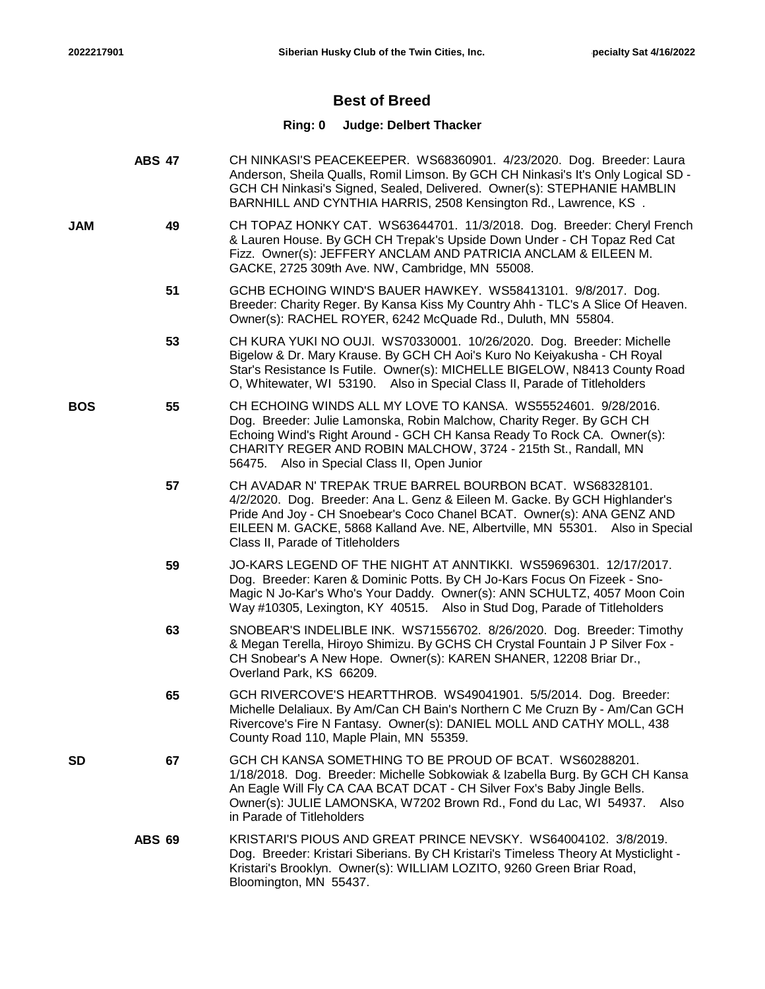# **Best of Breed**

## **Ring: 0 Judge: Delbert Thacker**

|            | <b>ABS 47</b> | CH NINKASI'S PEACEKEEPER. WS68360901. 4/23/2020. Dog. Breeder: Laura<br>Anderson, Sheila Qualls, Romil Limson. By GCH CH Ninkasi's It's Only Logical SD -<br>GCH CH Ninkasi's Signed, Sealed, Delivered. Owner(s): STEPHANIE HAMBLIN<br>BARNHILL AND CYNTHIA HARRIS, 2508 Kensington Rd., Lawrence, KS.                                |
|------------|---------------|----------------------------------------------------------------------------------------------------------------------------------------------------------------------------------------------------------------------------------------------------------------------------------------------------------------------------------------|
| <b>JAM</b> | 49            | CH TOPAZ HONKY CAT. WS63644701. 11/3/2018. Dog. Breeder: Cheryl French<br>& Lauren House. By GCH CH Trepak's Upside Down Under - CH Topaz Red Cat<br>Fizz. Owner(s): JEFFERY ANCLAM AND PATRICIA ANCLAM & EILEEN M.<br>GACKE, 2725 309th Ave. NW, Cambridge, MN 55008.                                                                 |
|            | 51            | GCHB ECHOING WIND'S BAUER HAWKEY. WS58413101. 9/8/2017. Dog.<br>Breeder: Charity Reger. By Kansa Kiss My Country Ahh - TLC's A Slice Of Heaven.<br>Owner(s): RACHEL ROYER, 6242 McQuade Rd., Duluth, MN 55804.                                                                                                                         |
|            | 53            | CH KURA YUKI NO OUJI. WS70330001. 10/26/2020. Dog. Breeder: Michelle<br>Bigelow & Dr. Mary Krause. By GCH CH Aoi's Kuro No Keiyakusha - CH Royal<br>Star's Resistance Is Futile. Owner(s): MICHELLE BIGELOW, N8413 County Road<br>O, Whitewater, WI 53190. Also in Special Class II, Parade of Titleholders                            |
| <b>BOS</b> | 55            | CH ECHOING WINDS ALL MY LOVE TO KANSA. WS55524601. 9/28/2016.<br>Dog. Breeder: Julie Lamonska, Robin Malchow, Charity Reger. By GCH CH<br>Echoing Wind's Right Around - GCH CH Kansa Ready To Rock CA. Owner(s):<br>CHARITY REGER AND ROBIN MALCHOW, 3724 - 215th St., Randall, MN<br>56475. Also in Special Class II, Open Junior     |
|            | 57            | CH AVADAR N' TREPAK TRUE BARREL BOURBON BCAT. WS68328101.<br>4/2/2020. Dog. Breeder: Ana L. Genz & Eileen M. Gacke. By GCH Highlander's<br>Pride And Joy - CH Snoebear's Coco Chanel BCAT. Owner(s): ANA GENZ AND<br>EILEEN M. GACKE, 5868 Kalland Ave. NE, Albertville, MN 55301. Also in Special<br>Class II, Parade of Titleholders |
|            | 59            | JO-KARS LEGEND OF THE NIGHT AT ANNTIKKI. WS59696301. 12/17/2017.<br>Dog. Breeder: Karen & Dominic Potts. By CH Jo-Kars Focus On Fizeek - Sno-<br>Magic N Jo-Kar's Who's Your Daddy. Owner(s): ANN SCHULTZ, 4057 Moon Coin<br>Way #10305, Lexington, KY 40515. Also in Stud Dog, Parade of Titleholders                                 |
|            | 63            | SNOBEAR'S INDELIBLE INK. WS71556702. 8/26/2020. Dog. Breeder: Timothy<br>& Megan Terella, Hiroyo Shimizu. By GCHS CH Crystal Fountain J P Silver Fox -<br>CH Snobear's A New Hope. Owner(s): KAREN SHANER, 12208 Briar Dr.,<br>Overland Park, KS 66209.                                                                                |
|            | 65            | GCH RIVERCOVE'S HEARTTHROB. WS49041901. 5/5/2014. Dog. Breeder:<br>Michelle Delaliaux. By Am/Can CH Bain's Northern C Me Cruzn By - Am/Can GCH<br>Rivercove's Fire N Fantasy. Owner(s): DANIEL MOLL AND CATHY MOLL, 438<br>County Road 110, Maple Plain, MN 55359.                                                                     |
| <b>SD</b>  | 67            | GCH CH KANSA SOMETHING TO BE PROUD OF BCAT. WS60288201.<br>1/18/2018. Dog. Breeder: Michelle Sobkowiak & Izabella Burg. By GCH CH Kansa<br>An Eagle Will Fly CA CAA BCAT DCAT - CH Silver Fox's Baby Jingle Bells.<br>Owner(s): JULIE LAMONSKA, W7202 Brown Rd., Fond du Lac, WI 54937.<br>Also<br>in Parade of Titleholders           |
|            | <b>ABS 69</b> | KRISTARI'S PIOUS AND GREAT PRINCE NEVSKY. WS64004102. 3/8/2019.<br>Dog. Breeder: Kristari Siberians. By CH Kristari's Timeless Theory At Mysticlight -<br>Kristari's Brooklyn. Owner(s): WILLIAM LOZITO, 9260 Green Briar Road,<br>Bloomington, MN 55437.                                                                              |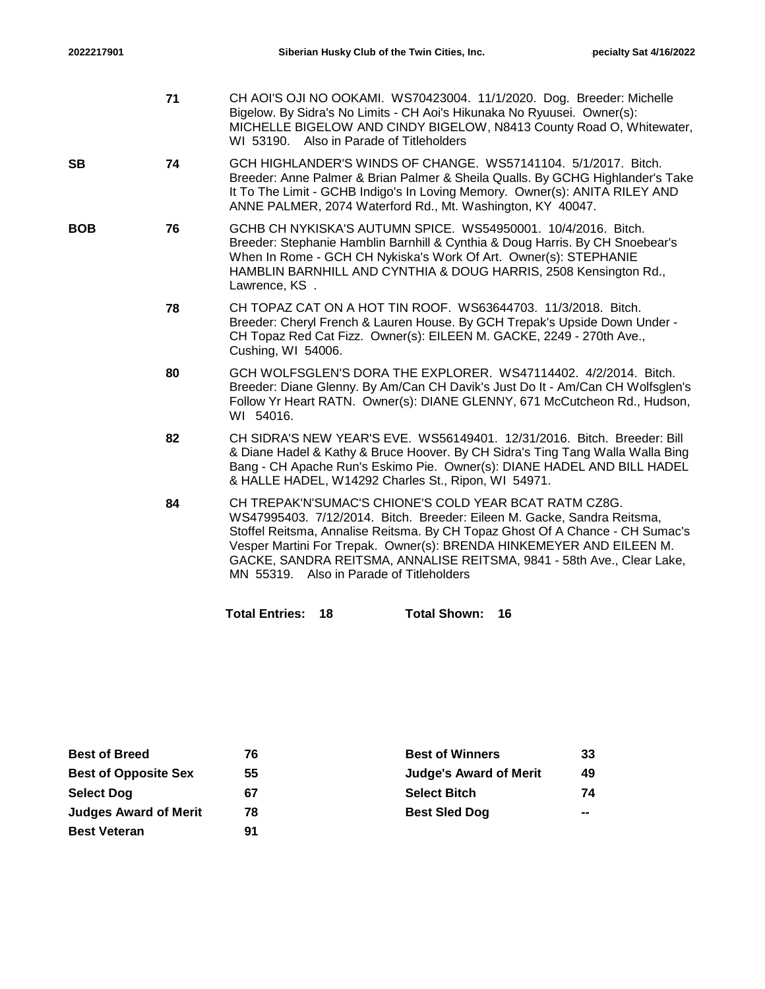- **71** CH AOI'S OJI NO OOKAMI. WS70423004. 11/1/2020. Dog. Breeder: Michelle Bigelow. By Sidra's No Limits - CH Aoi's Hikunaka No Ryuusei. Owner(s): MICHELLE BIGELOW AND CINDY BIGELOW, N8413 County Road O, Whitewater, WI 53190. Also in Parade of Titleholders
- **74** GCH HIGHLANDER'S WINDS OF CHANGE. WS57141104. 5/1/2017. Bitch. Breeder: Anne Palmer & Brian Palmer & Sheila Qualls. By GCHG Highlander's Take It To The Limit - GCHB Indigo's In Loving Memory. Owner(s): ANITA RILEY AND ANNE PALMER, 2074 Waterford Rd., Mt. Washington, KY 40047. **SB**
- **76** GCHB CH NYKISKA'S AUTUMN SPICE. WS54950001. 10/4/2016. Bitch. Breeder: Stephanie Hamblin Barnhill & Cynthia & Doug Harris. By CH Snoebear's When In Rome - GCH CH Nykiska's Work Of Art. Owner(s): STEPHANIE HAMBLIN BARNHILL AND CYNTHIA & DOUG HARRIS, 2508 Kensington Rd., Lawrence, KS . **BOB**
	- **78** CH TOPAZ CAT ON A HOT TIN ROOF. WS63644703. 11/3/2018. Bitch. Breeder: Cheryl French & Lauren House. By GCH Trepak's Upside Down Under - CH Topaz Red Cat Fizz. Owner(s): EILEEN M. GACKE, 2249 - 270th Ave., Cushing, WI 54006.
	- **80** GCH WOLFSGLEN'S DORA THE EXPLORER. WS47114402. 4/2/2014. Bitch. Breeder: Diane Glenny. By Am/Can CH Davik's Just Do It - Am/Can CH Wolfsglen's Follow Yr Heart RATN. Owner(s): DIANE GLENNY, 671 McCutcheon Rd., Hudson, WI 54016.
	- **82** CH SIDRA'S NEW YEAR'S EVE. WS56149401. 12/31/2016. Bitch. Breeder: Bill & Diane Hadel & Kathy & Bruce Hoover. By CH Sidra's Ting Tang Walla Walla Bing Bang - CH Apache Run's Eskimo Pie. Owner(s): DIANE HADEL AND BILL HADEL & HALLE HADEL, W14292 Charles St., Ripon, WI 54971.
	- **84** CH TREPAK'N'SUMAC'S CHIONE'S COLD YEAR BCAT RATM CZ8G. WS47995403. 7/12/2014. Bitch. Breeder: Eileen M. Gacke, Sandra Reitsma, Stoffel Reitsma, Annalise Reitsma. By CH Topaz Ghost Of A Chance - CH Sumac's Vesper Martini For Trepak. Owner(s): BRENDA HINKEMEYER AND EILEEN M. GACKE, SANDRA REITSMA, ANNALISE REITSMA, 9841 - 58th Ave., Clear Lake, MN 55319. Also in Parade of Titleholders

**Total Entries: 18 Total Shown: 16**

| <b>Best of Breed</b>         | 76 | <b>Best of Winners</b>        | 33 |
|------------------------------|----|-------------------------------|----|
| <b>Best of Opposite Sex</b>  | 55 | <b>Judge's Award of Merit</b> | 49 |
| <b>Select Dog</b>            | 67 | <b>Select Bitch</b>           | 74 |
| <b>Judges Award of Merit</b> | 78 | <b>Best Sled Dog</b>          | -- |
| <b>Best Veteran</b>          | 91 |                               |    |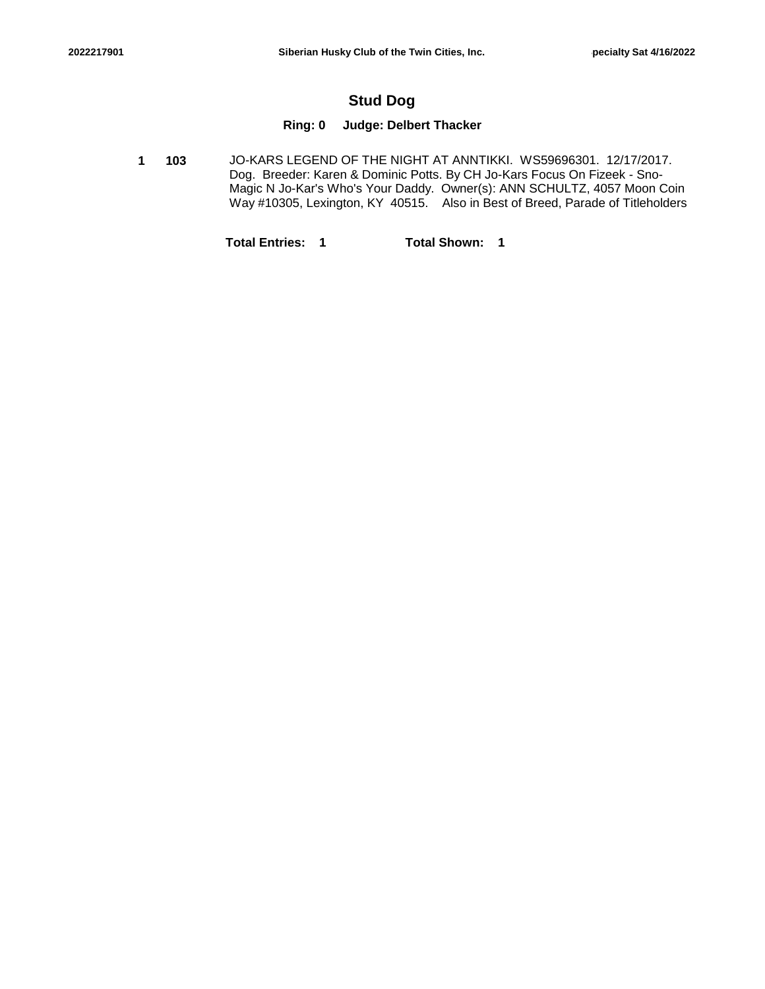## **Stud Dog**

### **Ring: 0 Judge: Delbert Thacker**

**103** JO-KARS LEGEND OF THE NIGHT AT ANNTIKKI. WS59696301. 12/17/2017. Dog. Breeder: Karen & Dominic Potts. By CH Jo-Kars Focus On Fizeek - Sno-Magic N Jo-Kar's Who's Your Daddy. Owner(s): ANN SCHULTZ, 4057 Moon Coin Way #10305, Lexington, KY 40515. Also in Best of Breed, Parade of Titleholders **1**

**Total Entries: 1 Total Shown: 1**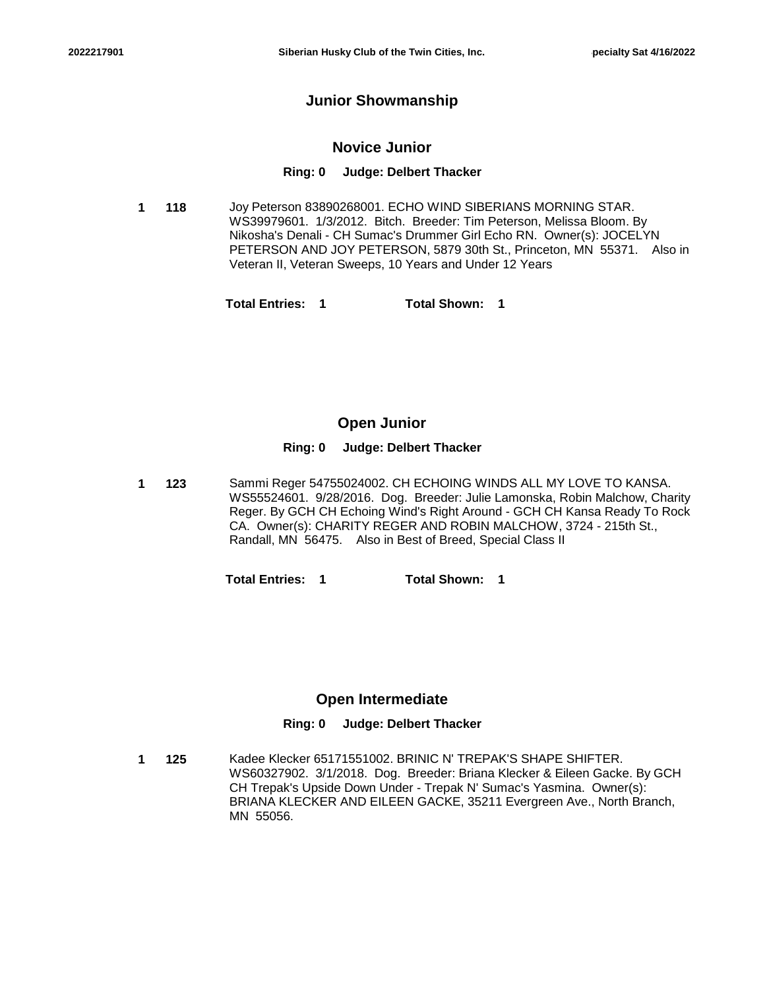### **Junior Showmanship**

### **Novice Junior**

#### **Ring: 0 Judge: Delbert Thacker**

**118** Joy Peterson 83890268001. ECHO WIND SIBERIANS MORNING STAR. WS39979601. 1/3/2012. Bitch. Breeder: Tim Peterson, Melissa Bloom. By Nikosha's Denali - CH Sumac's Drummer Girl Echo RN. Owner(s): JOCELYN PETERSON AND JOY PETERSON, 5879 30th St., Princeton, MN 55371. Also in Veteran II, Veteran Sweeps, 10 Years and Under 12 Years **1**

**Total Entries: 1 Total Shown: 1**

### **Open Junior**

#### **Ring: 0 Judge: Delbert Thacker**

**123** Sammi Reger 54755024002. CH ECHOING WINDS ALL MY LOVE TO KANSA. WS55524601. 9/28/2016. Dog. Breeder: Julie Lamonska, Robin Malchow, Charity Reger. By GCH CH Echoing Wind's Right Around - GCH CH Kansa Ready To Rock CA. Owner(s): CHARITY REGER AND ROBIN MALCHOW, 3724 - 215th St., Randall, MN 56475. Also in Best of Breed, Special Class II **1**

**Total Entries: 1 Total Shown: 1**

### **Open Intermediate**

### **Ring: 0 Judge: Delbert Thacker**

**125** Kadee Klecker 65171551002. BRINIC N' TREPAK'S SHAPE SHIFTER. WS60327902. 3/1/2018. Dog. Breeder: Briana Klecker & Eileen Gacke. By GCH CH Trepak's Upside Down Under - Trepak N' Sumac's Yasmina. Owner(s): BRIANA KLECKER AND EILEEN GACKE, 35211 Evergreen Ave., North Branch, MN 55056. **1**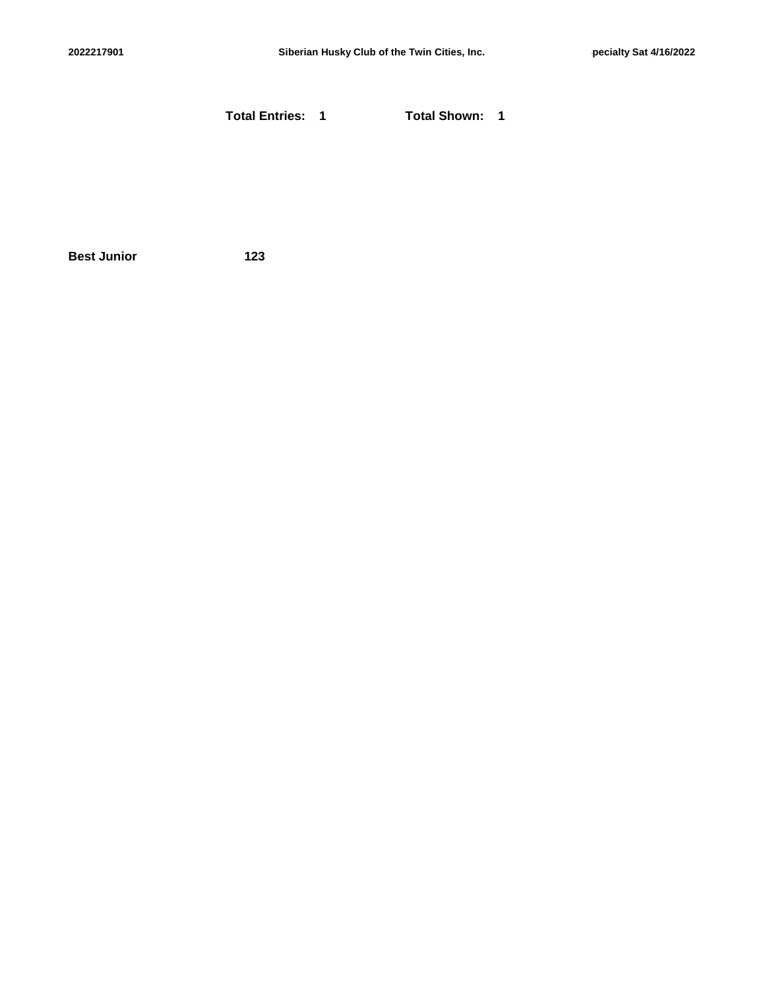**Total Entries: 1 Total Shown: 1**

**Best Junior 123**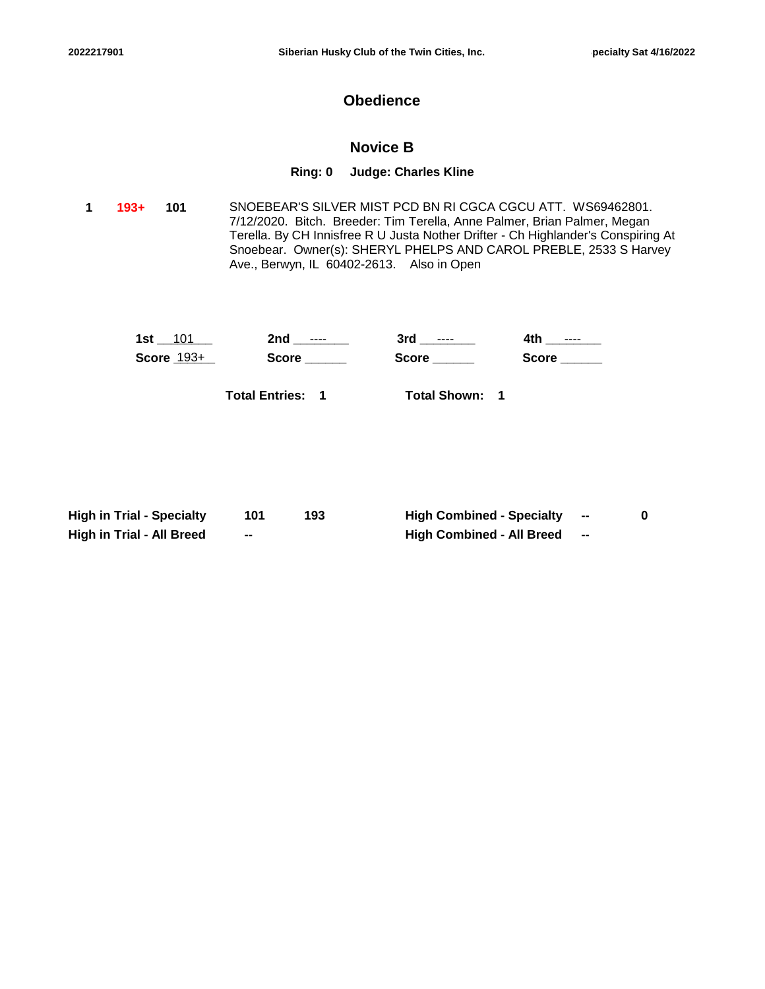## **Obedience**

## **Novice B**

#### **Ring: 0 Judge: Charles Kline**

**101** SNOEBEAR'S SILVER MIST PCD BN RI CGCA CGCU ATT. WS69462801. 7/12/2020. Bitch. Breeder: Tim Terella, Anne Palmer, Brian Palmer, Megan Terella. By CH Innisfree R U Justa Nother Drifter - Ch Highlander's Conspiring At Snoebear. Owner(s): SHERYL PHELPS AND CAROL PREBLE, 2533 S Harvey Ave., Berwyn, IL 60402-2613. Also in Open **1 193+**

| 1st          | 2nd<br>$---$ | 3rd<br>$---$ | 4t F<br>$- - - -$ |
|--------------|--------------|--------------|-------------------|
| Score $193+$ | <b>Score</b> | <b>Score</b> | <b>Score</b>      |
|              |              |              |                   |

**Total Entries: 1**

**Total Shown: 1**

| <b>High in Trial - Specialty</b> |    | 193 | <b>High Combined - Specialty</b> | -- |  |
|----------------------------------|----|-----|----------------------------------|----|--|
| High in Trial - All Breed        | -- |     | <b>High Combined - All Breed</b> | -- |  |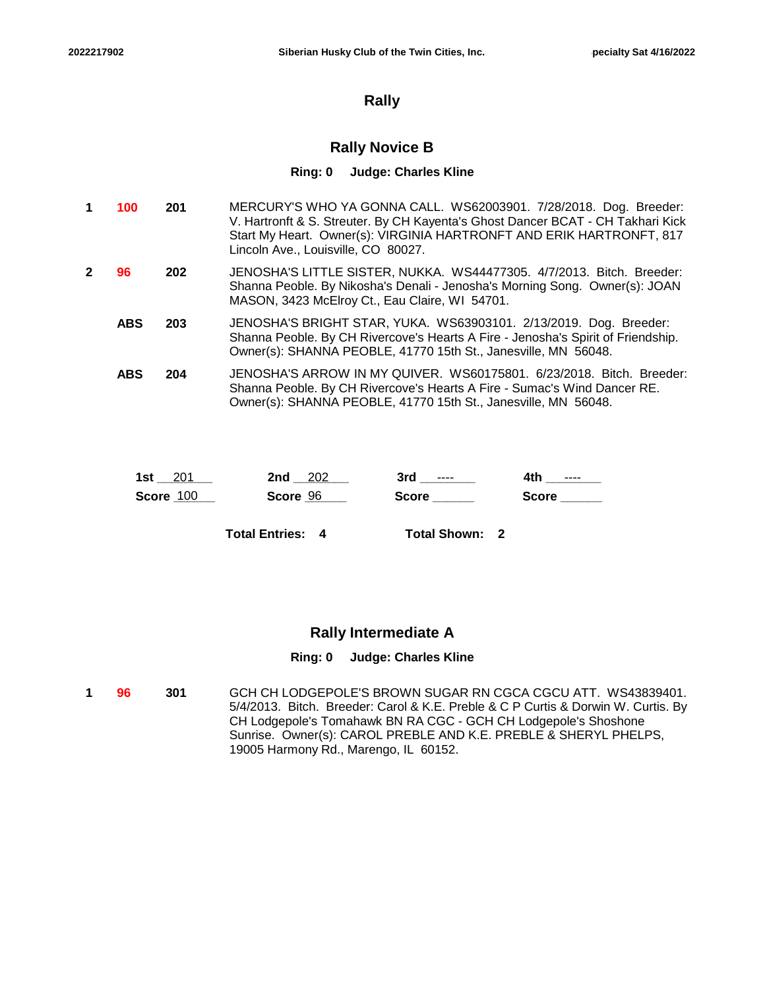## **Rally**

## **Rally Novice B**

#### **Ring: 0 Judge: Charles Kline**

| 100        | 201 | MERCURY'S WHO YA GONNA CALL. WS62003901. 7/28/2018. Dog. Breeder:<br>V. Hartronft & S. Streuter. By CH Kayenta's Ghost Dancer BCAT - CH Takhari Kick<br>Start My Heart. Owner(s): VIRGINIA HARTRONFT AND ERIK HARTRONFT, 817<br>Lincoln Ave., Louisville, CO 80027. |
|------------|-----|---------------------------------------------------------------------------------------------------------------------------------------------------------------------------------------------------------------------------------------------------------------------|
| 96         | 202 | JENOSHA'S LITTLE SISTER, NUKKA. WS44477305. 4/7/2013. Bitch. Breeder:<br>Shanna Peoble. By Nikosha's Denali - Jenosha's Morning Song. Owner(s): JOAN<br>MASON, 3423 McElroy Ct., Eau Claire, WI 54701.                                                              |
| <b>ABS</b> | 203 | JENOSHA'S BRIGHT STAR, YUKA. WS63903101. 2/13/2019. Dog. Breeder:<br>Shanna Peoble. By CH Rivercove's Hearts A Fire - Jenosha's Spirit of Friendship.<br>Owner(s): SHANNA PEOBLE, 41770 15th St., Janesville, MN 56048.                                             |
| <b>ABS</b> | 204 | JENOSHA'S ARROW IN MY QUIVER. WS60175801. 6/23/2018. Bitch. Breeder:<br>Shanna Peoble. By CH Rivercove's Hearts A Fire - Sumac's Wind Dancer RE.<br>Owner(s): SHANNA PEOBLE, 41770 15th St., Janesville, MN 56048.                                                  |

| 1st       | - 202    | 3rd      | 4th   |
|-----------|----------|----------|-------|
| 201       | 2nd      | $\cdots$ | $---$ |
| Score 100 | Score 96 | Score    | Score |

**Total Entries: 4**

**Total Shown: 2**

## **Rally Intermediate A**

### **Ring: 0 Judge: Charles Kline**

**301** GCH CH LODGEPOLE'S BROWN SUGAR RN CGCA CGCU ATT. WS43839401. 5/4/2013. Bitch. Breeder: Carol & K.E. Preble & C P Curtis & Dorwin W. Curtis. By CH Lodgepole's Tomahawk BN RA CGC - GCH CH Lodgepole's Shoshone Sunrise. Owner(s): CAROL PREBLE AND K.E. PREBLE & SHERYL PHELPS, 19005 Harmony Rd., Marengo, IL 60152. **1 96**